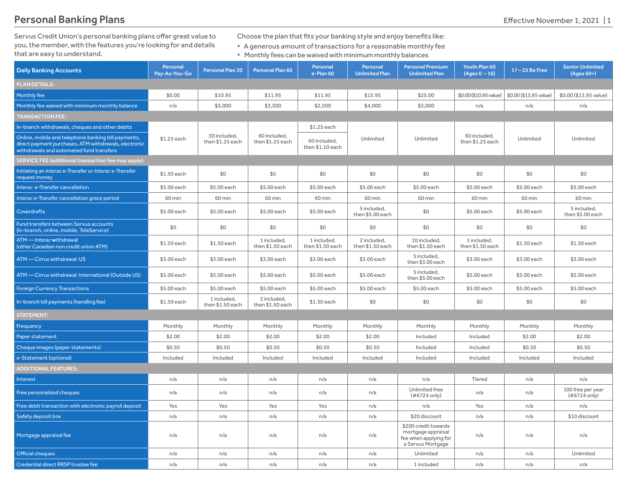Servus Credit Union's personal banking plans offer great value to you, the member, with the features you're looking for and details that are easy to understand.

Choose the plan that fits your banking style and enjoy benefits like:

• A generous amount of transactions for a reasonable monthly fee

• Monthly fees can be waived with minimum monthly balances

| <b>Daily Banking Accounts</b>                                                                                                                            | Personal<br>Pay-As-You-Go | Personal Plan 30                 | <b>Personal Plan 60</b>          | Personal<br>e-Plan 60            | Personal<br><b>Unlimited Plan</b> | <b>Personal Premium</b><br><b>Unlimited Plan</b>                                         | Youth Plan 60<br>$(Aqes 0 - 16)$ | 17-25 Be Free          | <b>Senior Unlimited</b><br>$(Ages 60+)$ |
|----------------------------------------------------------------------------------------------------------------------------------------------------------|---------------------------|----------------------------------|----------------------------------|----------------------------------|-----------------------------------|------------------------------------------------------------------------------------------|----------------------------------|------------------------|-----------------------------------------|
| <b>PLAN DETAILS:</b>                                                                                                                                     |                           |                                  |                                  |                                  |                                   |                                                                                          |                                  |                        |                                         |
| Monthly fee                                                                                                                                              | \$0.00                    | \$10.95                          | \$11.95                          | \$11.95                          | \$15.95                           | \$25.00                                                                                  | \$0.00 (\$10.95 value)           | \$0.00 (\$13.95 value) | \$0.00 (\$13.95 value)                  |
| Monthly fee waived with minimum monthly balance                                                                                                          | n/a                       | \$3,000                          | \$3,500                          | \$2,500                          | \$4,000                           | \$5,000                                                                                  | n/a                              | n/a                    | n/a                                     |
| <b>TRANSACTION FEE:</b>                                                                                                                                  |                           |                                  |                                  |                                  |                                   |                                                                                          |                                  |                        |                                         |
| In-branch withdrawals, cheques and other debits                                                                                                          |                           |                                  |                                  | \$1.25 each                      |                                   |                                                                                          |                                  |                        |                                         |
| Online, mobile and telephone banking bill payments,<br>direct payment purchases, ATM withdrawals, electronic<br>withdrawals and automated fund transfers | \$1.25 each               | 30 included,<br>then \$1.25 each | 60 included,<br>then \$1.25 each | 60 included,<br>then \$1.10 each | Unlimited                         | Unlimited                                                                                | 60 included,<br>then \$1.25 each | Unlimited              | Unlimited                               |
| SERVICE FEE (additional transaction fee may apply):                                                                                                      |                           |                                  |                                  |                                  |                                   |                                                                                          |                                  |                        |                                         |
| Initiating an Interac e-Transfer or Interac e-Transfer<br>request money                                                                                  | \$1.50 each               | \$0                              | \$0                              | \$0                              | \$0                               | \$0                                                                                      | \$0                              | \$0                    | \$0                                     |
| Interac e-Transfer cancellation                                                                                                                          | \$5.00 each               | \$5.00 each                      | \$5.00 each                      | \$5.00 each                      | \$5.00 each                       | \$5.00 each                                                                              | \$5.00 each                      | \$5.00 each            | \$5.00 each                             |
| Interac e-Transfer cancellation grace period                                                                                                             | 60 min                    | 60 min                           | 60 min                           | 60 min                           | 60 min                            | 60 min                                                                                   | 60 min                           | 60 min                 | 60 min                                  |
| Coverdrafts                                                                                                                                              | \$5.00 each               | \$5.00 each                      | \$5.00 each                      | \$5.00 each                      | 5 included,<br>then \$5.00 each   | \$0                                                                                      | \$5.00 each                      | \$5.00 each            | 5 included,<br>then \$5.00 each         |
| Fund transfers between Servus accounts<br>(in-branch, online, mobile, TeleService)                                                                       | \$0                       | \$0                              | \$0                              | \$0                              | \$0                               | \$0                                                                                      | \$0                              | \$0                    | \$0                                     |
| ATM - Interac withdrawal<br>(other Canadian non credit union ATM)                                                                                        | \$1.50 each               | \$1.50 each                      | 1 included,<br>then \$1.50 each  | 1 included,<br>then \$1.50 each  | 2 included,<br>then \$1.50 each   | 10 included,<br>then \$1.50 each                                                         | 1 included,<br>then \$1.50 each  | \$1.50 each            | \$1.50 each                             |
| ATM - Cirrus withdrawal: US                                                                                                                              | \$3.00 each               | \$3.00 each                      | \$3.00 each                      | \$3.00 each                      | \$3.00 each                       | 5 included,<br>then \$3.00 each                                                          | \$3.00 each                      | \$3.00 each            | \$3.00 each                             |
| ATM - Cirrus withdrawal: International (Outside US)                                                                                                      | \$5.00 each               | \$5.00 each                      | \$5.00 each                      | \$5.00 each                      | \$5.00 each                       | 5 included,<br>then \$5.00 each                                                          | \$5.00 each                      | \$5.00 each            | \$5.00 each                             |
| <b>Foreign Currency Transactions</b>                                                                                                                     | \$5.00 each               | \$5.00 each                      | \$5.00 each                      | \$5.00 each                      | \$5.00 each                       | \$5.00 each                                                                              | \$5.00 each                      | \$5.00 each            | \$5.00 each                             |
| In-branch bill payments (handling fee)                                                                                                                   | \$1.50 each               | 1 included,<br>then \$1.50 each  | 2 included,<br>then \$1.50 each  | \$1.50 each                      | \$0                               | \$0                                                                                      | \$0                              | \$0                    | \$0                                     |
| <b>STATEMENT:</b>                                                                                                                                        |                           |                                  |                                  |                                  |                                   |                                                                                          |                                  |                        |                                         |
| Frequency                                                                                                                                                | Monthly                   | Monthly                          | Monthly                          | Monthly                          | Monthly                           | Monthly                                                                                  | Monthly                          | Monthly                | Monthly                                 |
| Paper statement                                                                                                                                          | \$2.00                    | \$2.00                           | \$2.00                           | \$2.00                           | \$2.00                            | Included                                                                                 | Included                         | \$2.00                 | \$2.00                                  |
| Cheque images (paper statements)                                                                                                                         | \$0.50                    | \$0.50                           | \$0.50                           | \$0.50                           | \$0.50                            | Included                                                                                 | Included                         | \$0.50                 | \$0.50                                  |
| e-Statement (optional)                                                                                                                                   | Included                  | Included                         | Included                         | Included                         | Included                          | Included                                                                                 | Included                         | Included               | Included                                |
| <b>ADDITIONAL FEATURES:</b>                                                                                                                              |                           |                                  |                                  |                                  |                                   |                                                                                          |                                  |                        |                                         |
| Interest                                                                                                                                                 | n/a                       | n/a                              | n/a                              | n/a                              | n/a                               | n/a                                                                                      | Tiered                           | n/a                    | n/a                                     |
| Free personalized cheques                                                                                                                                | n/a                       | n/a                              | n/a                              | n/a                              | n/a                               | Unlimited free<br>(#6724 only)                                                           | n/a                              | n/a                    | 100 free per year<br>(#6724 only)       |
| Free debit transaction with electronic payroll deposit                                                                                                   | Yes                       | Yes                              | Yes                              | Yes                              | n/a                               | n/a                                                                                      | Yes                              | n/a                    | n/a                                     |
| Safety deposit box                                                                                                                                       | n/a                       | n/a                              | n/a                              | n/a                              | n/a                               | \$20 discount                                                                            | n/a                              | n/a                    | \$10 discount                           |
| Mortgage appraisal fee                                                                                                                                   | n/a                       | n/a                              | n/a                              | n/a                              | n/a                               | \$200 credit towards<br>mortgage appraisal<br>fee when applying for<br>a Servus Mortgage | n/a                              | n/a                    | n/a                                     |
| Official cheques                                                                                                                                         | n/a                       | n/a                              | n/a                              | n/a                              | n/a                               | Unlimited                                                                                | n/a                              | n/a                    | Unlimited                               |
| Credential direct RRSP trustee fee                                                                                                                       | n/a                       | n/a                              | n/a                              | n/a                              | n/a                               | 1 included                                                                               | n/a                              | n/a                    | n/a                                     |